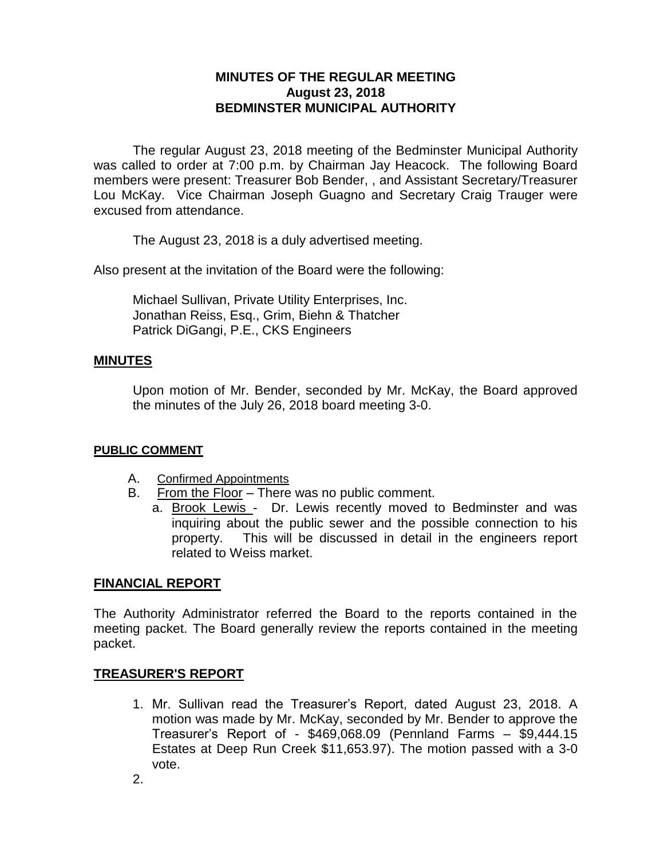# **MINUTES OF THE REGULAR MEETING August 23, 2018 BEDMINSTER MUNICIPAL AUTHORITY**

The regular August 23, 2018 meeting of the Bedminster Municipal Authority was called to order at 7:00 p.m. by Chairman Jay Heacock. The following Board members were present: Treasurer Bob Bender, , and Assistant Secretary/Treasurer Lou McKay. Vice Chairman Joseph Guagno and Secretary Craig Trauger were excused from attendance.

The August 23, 2018 is a duly advertised meeting.

Also present at the invitation of the Board were the following:

Michael Sullivan, Private Utility Enterprises, Inc. Jonathan Reiss, Esq., Grim, Biehn & Thatcher Patrick DiGangi, P.E., CKS Engineers

### **MINUTES**

Upon motion of Mr. Bender, seconded by Mr. McKay, the Board approved the minutes of the July 26, 2018 board meeting 3-0.

#### **PUBLIC COMMENT**

- A. Confirmed Appointments
- B. From the Floor There was no public comment.
	- a. Brook Lewis Dr. Lewis recently moved to Bedminster and was inquiring about the public sewer and the possible connection to his property. This will be discussed in detail in the engineers report related to Weiss market.

#### **FINANCIAL REPORT**

The Authority Administrator referred the Board to the reports contained in the meeting packet. The Board generally review the reports contained in the meeting packet.

## **TREASURER'S REPORT**

1. Mr. Sullivan read the Treasurer's Report, dated August 23, 2018. A motion was made by Mr. McKay, seconded by Mr. Bender to approve the Treasurer's Report of - \$469,068.09 (Pennland Farms – \$9,444.15 Estates at Deep Run Creek \$11,653.97). The motion passed with a 3-0 vote.

2.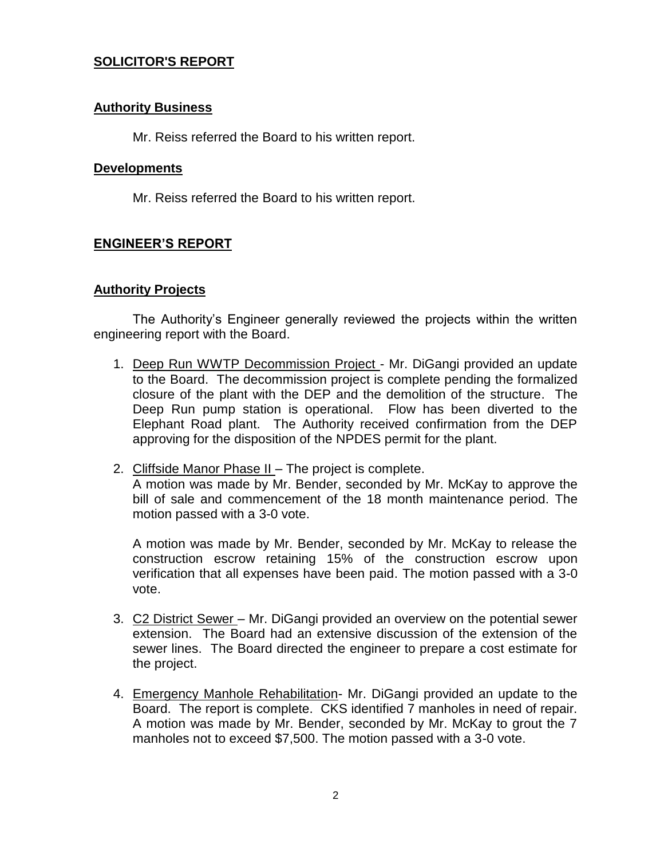## **SOLICITOR'S REPORT**

### **Authority Business**

Mr. Reiss referred the Board to his written report.

#### **Developments**

Mr. Reiss referred the Board to his written report.

# **ENGINEER'S REPORT**

### **Authority Projects**

The Authority's Engineer generally reviewed the projects within the written engineering report with the Board.

- 1. Deep Run WWTP Decommission Project Mr. DiGangi provided an update to the Board. The decommission project is complete pending the formalized closure of the plant with the DEP and the demolition of the structure. The Deep Run pump station is operational. Flow has been diverted to the Elephant Road plant. The Authority received confirmation from the DEP approving for the disposition of the NPDES permit for the plant.
- 2. Cliffside Manor Phase II The project is complete.

A motion was made by Mr. Bender, seconded by Mr. McKay to approve the bill of sale and commencement of the 18 month maintenance period. The motion passed with a 3-0 vote.

A motion was made by Mr. Bender, seconded by Mr. McKay to release the construction escrow retaining 15% of the construction escrow upon verification that all expenses have been paid. The motion passed with a 3-0 vote.

- 3. C2 District Sewer Mr. DiGangi provided an overview on the potential sewer extension. The Board had an extensive discussion of the extension of the sewer lines. The Board directed the engineer to prepare a cost estimate for the project.
- 4. Emergency Manhole Rehabilitation- Mr. DiGangi provided an update to the Board. The report is complete. CKS identified 7 manholes in need of repair. A motion was made by Mr. Bender, seconded by Mr. McKay to grout the 7 manholes not to exceed \$7,500. The motion passed with a 3-0 vote.